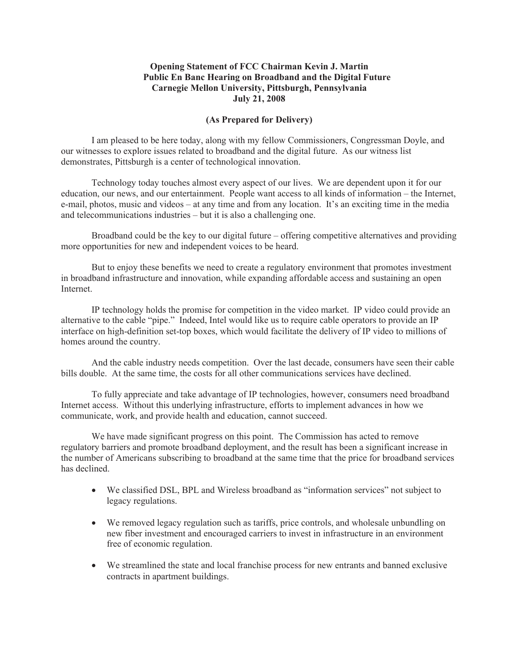## **Opening Statement of FCC Chairman Kevin J. Martin Public En Banc Hearing on Broadband and the Digital Future Carnegie Mellon University, Pittsburgh, Pennsylvania July 21, 2008**

## **(As Prepared for Delivery)**

I am pleased to be here today, along with my fellow Commissioners, Congressman Doyle, and our witnesses to explore issues related to broadband and the digital future. As our witness list demonstrates, Pittsburgh is a center of technological innovation.

Technology today touches almost every aspect of our lives. We are dependent upon it for our education, our news, and our entertainment. People want access to all kinds of information – the Internet, e-mail, photos, music and videos – at any time and from any location. It's an exciting time in the media and telecommunications industries – but it is also a challenging one.

Broadband could be the key to our digital future – offering competitive alternatives and providing more opportunities for new and independent voices to be heard.

But to enjoy these benefits we need to create a regulatory environment that promotes investment in broadband infrastructure and innovation, while expanding affordable access and sustaining an open Internet.

IP technology holds the promise for competition in the video market. IP video could provide an alternative to the cable "pipe." Indeed, Intel would like us to require cable operators to provide an IP interface on high-definition set-top boxes, which would facilitate the delivery of IP video to millions of homes around the country.

And the cable industry needs competition. Over the last decade, consumers have seen their cable bills double. At the same time, the costs for all other communications services have declined.

To fully appreciate and take advantage of IP technologies, however, consumers need broadband Internet access. Without this underlying infrastructure, efforts to implement advances in how we communicate, work, and provide health and education, cannot succeed.

We have made significant progress on this point. The Commission has acted to remove regulatory barriers and promote broadband deployment, and the result has been a significant increase in the number of Americans subscribing to broadband at the same time that the price for broadband services has declined.

- · We classified DSL, BPL and Wireless broadband as "information services" not subject to legacy regulations.
- · We removed legacy regulation such as tariffs, price controls, and wholesale unbundling on new fiber investment and encouraged carriers to invest in infrastructure in an environment free of economic regulation.
- · We streamlined the state and local franchise process for new entrants and banned exclusive contracts in apartment buildings.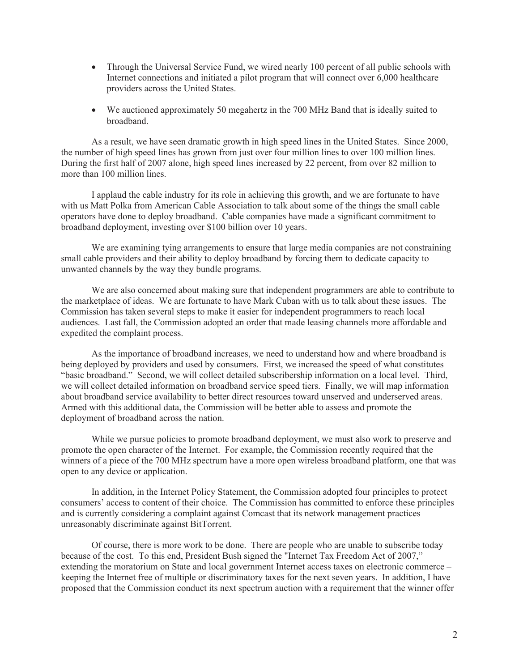- Through the Universal Service Fund, we wired nearly 100 percent of all public schools with Internet connections and initiated a pilot program that will connect over 6,000 healthcare providers across the United States.
- We auctioned approximately 50 megahertz in the 700 MHz Band that is ideally suited to broadband.

As a result, we have seen dramatic growth in high speed lines in the United States. Since 2000, the number of high speed lines has grown from just over four million lines to over 100 million lines. During the first half of 2007 alone, high speed lines increased by 22 percent, from over 82 million to more than 100 million lines.

I applaud the cable industry for its role in achieving this growth, and we are fortunate to have with us Matt Polka from American Cable Association to talk about some of the things the small cable operators have done to deploy broadband. Cable companies have made a significant commitment to broadband deployment, investing over \$100 billion over 10 years.

We are examining tying arrangements to ensure that large media companies are not constraining small cable providers and their ability to deploy broadband by forcing them to dedicate capacity to unwanted channels by the way they bundle programs.

We are also concerned about making sure that independent programmers are able to contribute to the marketplace of ideas. We are fortunate to have Mark Cuban with us to talk about these issues. The Commission has taken several steps to make it easier for independent programmers to reach local audiences. Last fall, the Commission adopted an order that made leasing channels more affordable and expedited the complaint process.

As the importance of broadband increases, we need to understand how and where broadband is being deployed by providers and used by consumers. First, we increased the speed of what constitutes "basic broadband." Second, we will collect detailed subscribership information on a local level. Third, we will collect detailed information on broadband service speed tiers. Finally, we will map information about broadband service availability to better direct resources toward unserved and underserved areas. Armed with this additional data, the Commission will be better able to assess and promote the deployment of broadband across the nation.

While we pursue policies to promote broadband deployment, we must also work to preserve and promote the open character of the Internet. For example, the Commission recently required that the winners of a piece of the 700 MHz spectrum have a more open wireless broadband platform, one that was open to any device or application.

In addition, in the Internet Policy Statement, the Commission adopted four principles to protect consumers' access to content of their choice. The Commission has committed to enforce these principles and is currently considering a complaint against Comcast that its network management practices unreasonably discriminate against BitTorrent.

Of course, there is more work to be done. There are people who are unable to subscribe today because of the cost. To this end, President Bush signed the "Internet Tax Freedom Act of 2007," extending the moratorium on State and local government Internet access taxes on electronic commerce – keeping the Internet free of multiple or discriminatory taxes for the next seven years. In addition, I have proposed that the Commission conduct its next spectrum auction with a requirement that the winner offer